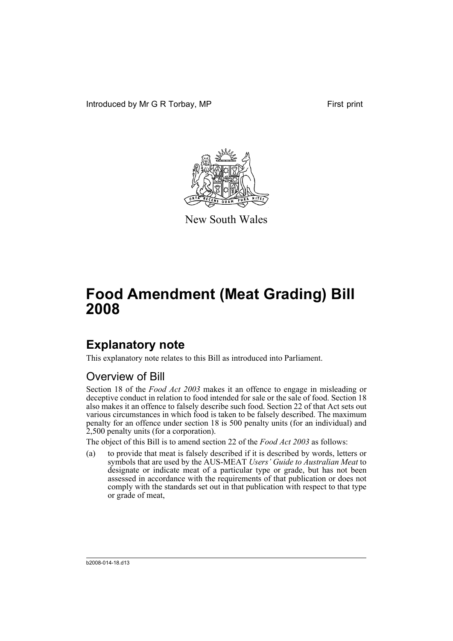Introduced by Mr G R Torbay, MP First print



New South Wales

# **Food Amendment (Meat Grading) Bill 2008**

## **Explanatory note**

This explanatory note relates to this Bill as introduced into Parliament.

#### Overview of Bill

Section 18 of the *Food Act 2003* makes it an offence to engage in misleading or deceptive conduct in relation to food intended for sale or the sale of food. Section 18 also makes it an offence to falsely describe such food. Section 22 of that Act sets out various circumstances in which food is taken to be falsely described. The maximum penalty for an offence under section 18 is 500 penalty units (for an individual) and 2,500 penalty units (for a corporation).

The object of this Bill is to amend section 22 of the *Food Act 2003* as follows:

(a) to provide that meat is falsely described if it is described by words, letters or symbols that are used by the AUS-MEAT *Users' Guide to Australian Meat* to designate or indicate meat of a particular type or grade, but has not been assessed in accordance with the requirements of that publication or does not comply with the standards set out in that publication with respect to that type or grade of meat,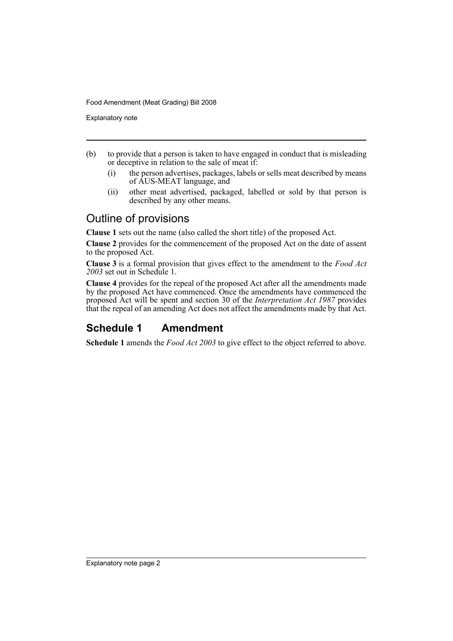Food Amendment (Meat Grading) Bill 2008

Explanatory note

- (b) to provide that a person is taken to have engaged in conduct that is misleading or deceptive in relation to the sale of meat if:
	- (i) the person advertises, packages, labels or sells meat described by means of AUS-MEAT language, and
	- (ii) other meat advertised, packaged, labelled or sold by that person is described by any other means.

#### Outline of provisions

**Clause 1** sets out the name (also called the short title) of the proposed Act.

**Clause 2** provides for the commencement of the proposed Act on the date of assent to the proposed Act.

**Clause 3** is a formal provision that gives effect to the amendment to the *Food Act 2003* set out in Schedule 1.

**Clause 4** provides for the repeal of the proposed Act after all the amendments made by the proposed Act have commenced. Once the amendments have commenced the proposed Act will be spent and section 30 of the *Interpretation Act 1987* provides that the repeal of an amending Act does not affect the amendments made by that Act.

### **Schedule 1 Amendment**

**Schedule 1** amends the *Food Act 2003* to give effect to the object referred to above.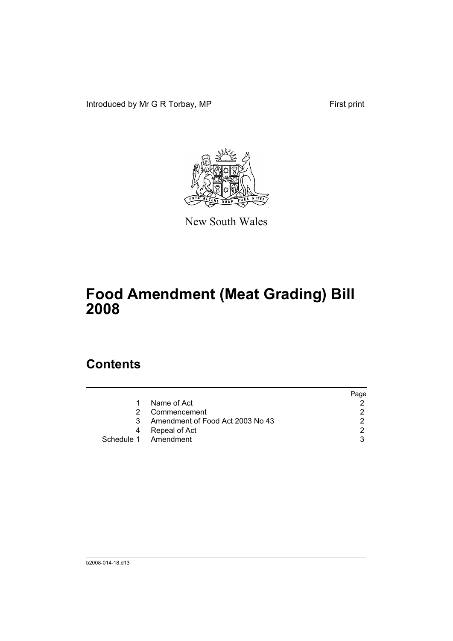Introduced by Mr G R Torbay, MP First print



New South Wales

# **Food Amendment (Meat Grading) Bill 2008**

### **Contents**

|   |                                  | Page |
|---|----------------------------------|------|
|   | Name of Act                      |      |
| 2 | Commencement                     |      |
| 3 | Amendment of Food Act 2003 No 43 |      |
| 4 | Repeal of Act                    |      |
|   | Schedule 1 Amendment             |      |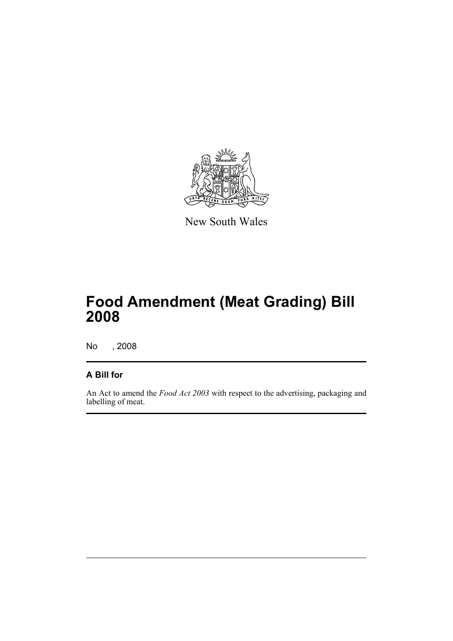

New South Wales

# **Food Amendment (Meat Grading) Bill 2008**

No , 2008

#### **A Bill for**

An Act to amend the *Food Act 2003* with respect to the advertising, packaging and labelling of meat.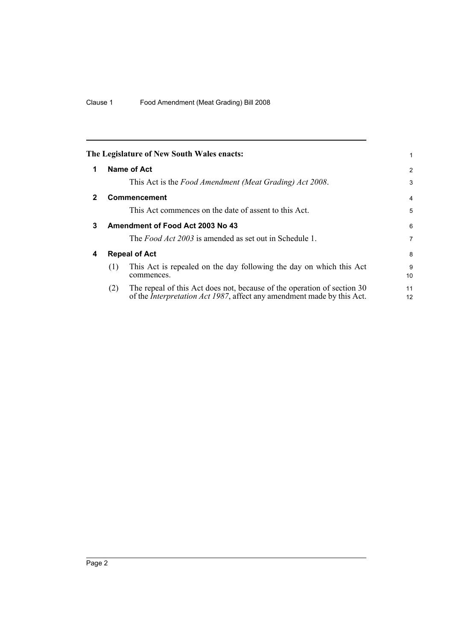<span id="page-5-3"></span><span id="page-5-2"></span><span id="page-5-1"></span><span id="page-5-0"></span>

|   |                      | The Legislature of New South Wales enacts:                                                                                                                | 1                    |
|---|----------------------|-----------------------------------------------------------------------------------------------------------------------------------------------------------|----------------------|
| 1 |                      | Name of Act                                                                                                                                               | 2                    |
|   |                      | This Act is the Food Amendment (Meat Grading) Act 2008.                                                                                                   | 3                    |
| 2 |                      | <b>Commencement</b>                                                                                                                                       | 4                    |
|   |                      | This Act commences on the date of assent to this Act.                                                                                                     | 5                    |
| 3 |                      | Amendment of Food Act 2003 No 43                                                                                                                          | 6                    |
|   |                      | The <i>Food Act 2003</i> is amended as set out in Schedule 1.                                                                                             | 7                    |
| 4 | <b>Repeal of Act</b> |                                                                                                                                                           | 8                    |
|   | (1)                  | This Act is repealed on the day following the day on which this Act<br>commences.                                                                         | 9<br>10 <sup>1</sup> |
|   | (2)                  | The repeal of this Act does not, because of the operation of section 30<br>of the <i>Interpretation Act 1987</i> , affect any amendment made by this Act. | 11<br>12             |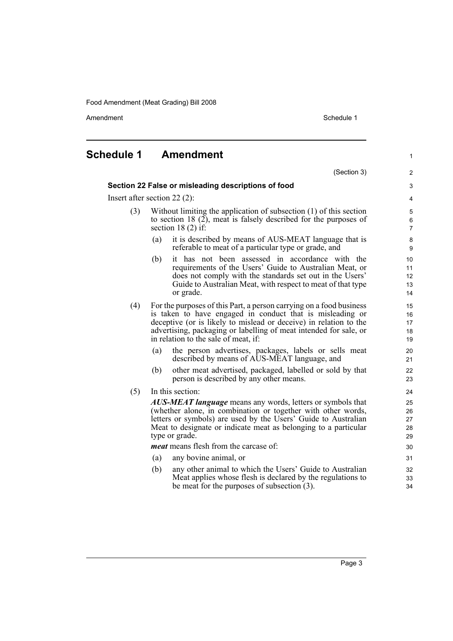Food Amendment (Meat Grading) Bill 2008

Amendment **Amendment** Schedule 1

1

### <span id="page-6-0"></span>**Schedule 1 Amendment**

(Section 3) **Section 22 False or misleading descriptions of food** Insert after section 22 (2): (3) Without limiting the application of subsection (1) of this section to section 18  $(2)$ , meat is falsely described for the purposes of section 18 (2) if: (a) it is described by means of AUS-MEAT language that is referable to meat of a particular type or grade, and (b) it has not been assessed in accordance with the requirements of the Users' Guide to Australian Meat, or does not comply with the standards set out in the Users' Guide to Australian Meat, with respect to meat of that type or grade. (4) For the purposes of this Part, a person carrying on a food business is taken to have engaged in conduct that is misleading or deceptive (or is likely to mislead or deceive) in relation to the advertising, packaging or labelling of meat intended for sale, or in relation to the sale of meat, if: (a) the person advertises, packages, labels or sells meat described by means of AUS-MEAT language, and (b) other meat advertised, packaged, labelled or sold by that person is described by any other means. (5) In this section: *AUS-MEAT language* means any words, letters or symbols that (whether alone, in combination or together with other words, letters or symbols) are used by the Users' Guide to Australian Meat to designate or indicate meat as belonging to a particular type or grade. *meat* means flesh from the carcase of: (a) any bovine animal, or (b) any other animal to which the Users' Guide to Australian Meat applies whose flesh is declared by the regulations to be meat for the purposes of subsection (3).  $\overline{2}$ 3 4 5 6 7 8 9 10 11 12 13 14 15 16 17 18 19 20 21 22 23 24 25 26 27 28 29 30 31 32 33 34